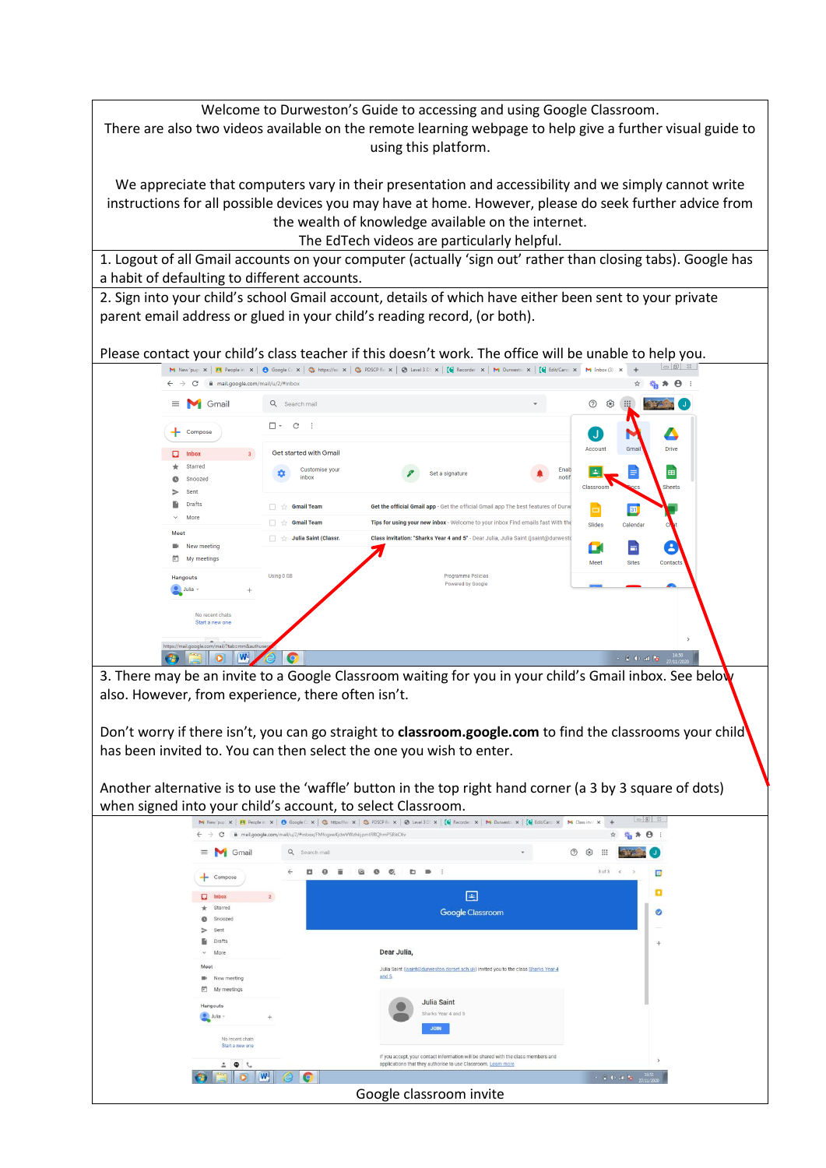Welcome to Durweston's Guide to accessing and using Google Classroom. There are also two videos available on the remote learning webpage to help give a further visual guide to using this platform.

We appreciate that computers vary in their presentation and accessibility and we simply cannot write instructions for all possible devices you may have at home. However, please do seek further advice from the wealth of knowledge available on the internet.

The EdTech videos are particularly helpful.

1. Logout of all Gmail accounts on your computer (actually 'sign out' rather than closing tabs). Google has a habit of defaulting to different accounts.

2. Sign into your child's school Gmail account, details of which have either been sent to your private parent email address or glued in your child's reading record, (or both).

Please contact your child's class teacher if this doesn't work. The office will be unable to help you.



3. There may be an invite to a Google Classroom waiting for you in your child's Gmail inbox. See below also. However, from experience, there often isn't.

Don't worry if there isn't, you can go straight to **classroom.google.com** to find the classrooms your child has been invited to. You can then select the one you wish to enter.

Another alternative is to use the 'waffle' button in the top right hand corner (a 3 by 3 square of dots)

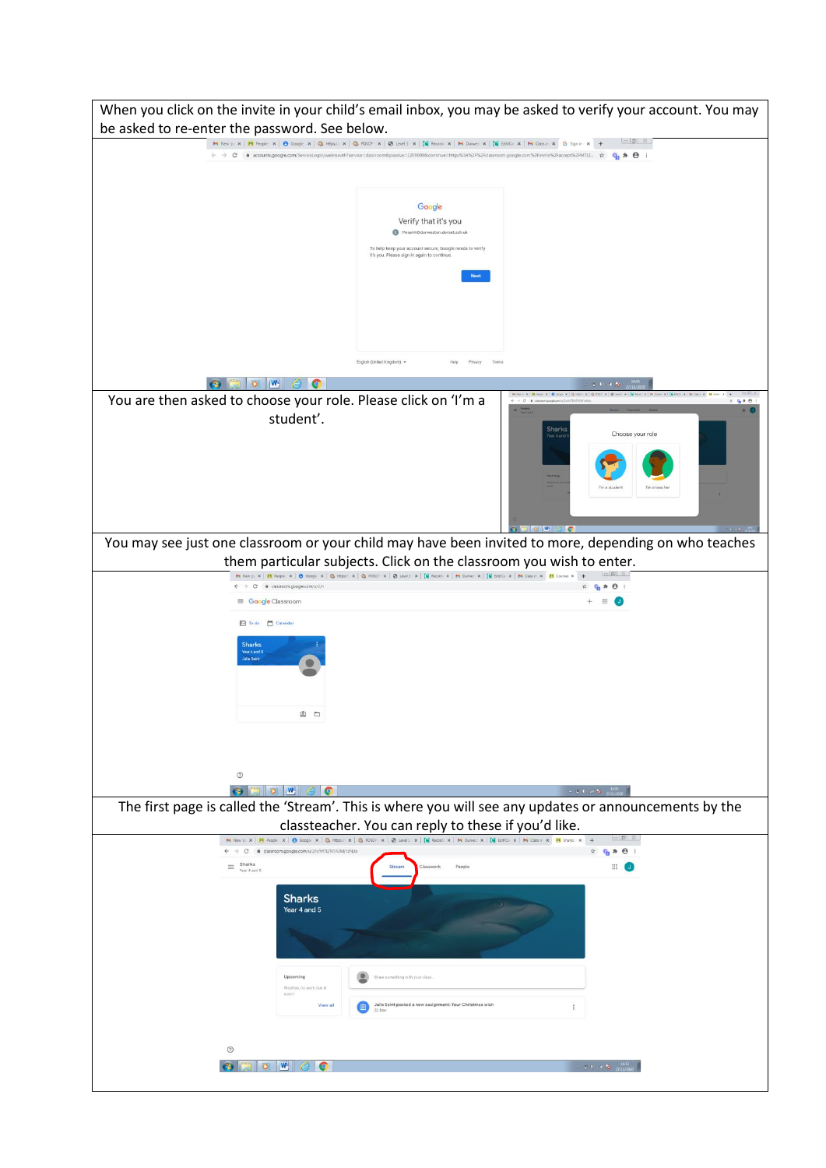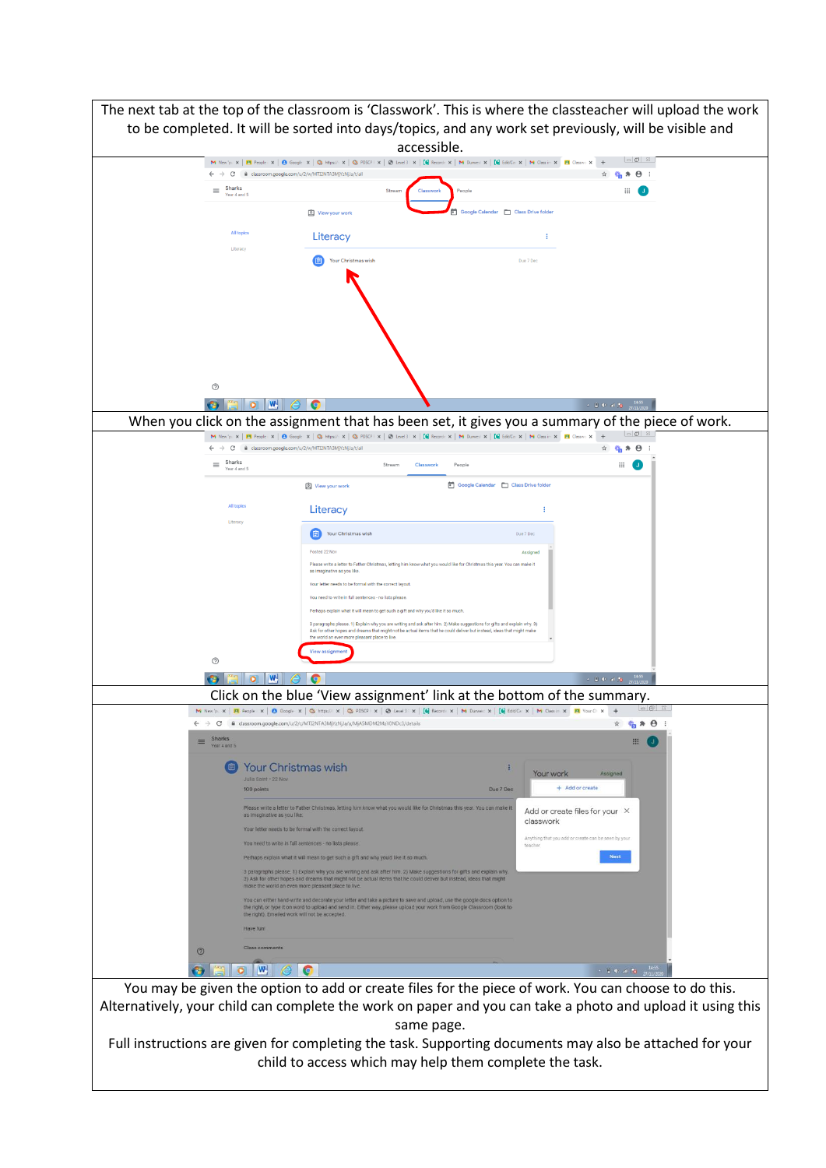